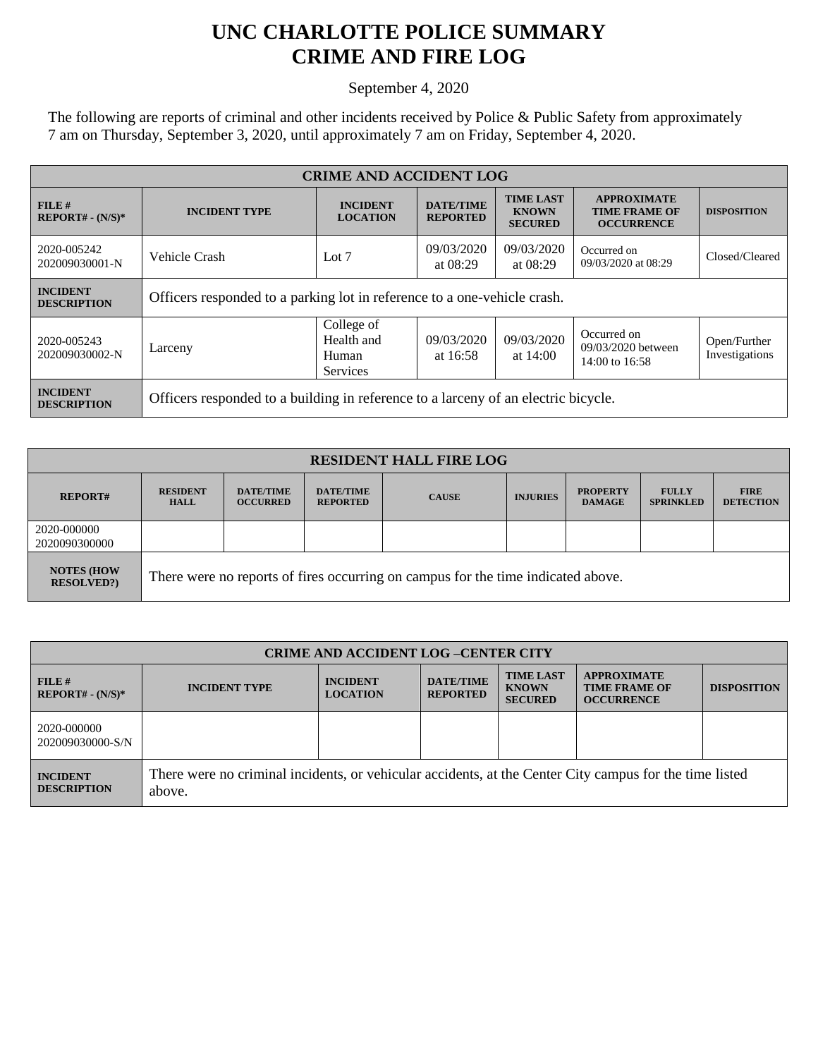## **UNC CHARLOTTE POLICE SUMMARY CRIME AND FIRE LOG**

September 4, 2020

The following are reports of criminal and other incidents received by Police & Public Safety from approximately 7 am on Thursday, September 3, 2020, until approximately 7 am on Friday, September 4, 2020.

| <b>CRIME AND ACCIDENT LOG</b>         |                                                                                    |                                               |                                     |                                                    |                                                                 |                                |  |
|---------------------------------------|------------------------------------------------------------------------------------|-----------------------------------------------|-------------------------------------|----------------------------------------------------|-----------------------------------------------------------------|--------------------------------|--|
| FILE#<br>$REPORT# - (N/S)*$           | <b>INCIDENT TYPE</b>                                                               | <b>INCIDENT</b><br><b>LOCATION</b>            | <b>DATE/TIME</b><br><b>REPORTED</b> | <b>TIME LAST</b><br><b>KNOWN</b><br><b>SECURED</b> | <b>APPROXIMATE</b><br><b>TIME FRAME OF</b><br><b>OCCURRENCE</b> | <b>DISPOSITION</b>             |  |
| 2020-005242<br>202009030001-N         | Vehicle Crash                                                                      | Lot $7$                                       | 09/03/2020<br>at $08:29$            | 09/03/2020<br>at 08:29                             | Occurred on<br>09/03/2020 at 08:29                              | Closed/Cleared                 |  |
| <b>INCIDENT</b><br><b>DESCRIPTION</b> | Officers responded to a parking lot in reference to a one-vehicle crash.           |                                               |                                     |                                                    |                                                                 |                                |  |
| 2020-005243<br>202009030002-N         | Larceny                                                                            | College of<br>Health and<br>Human<br>Services | 09/03/2020<br>at 16:58              | 09/03/2020<br>at $14:00$                           | Occurred on<br>09/03/2020 between<br>14:00 to 16:58             | Open/Further<br>Investigations |  |
| <b>INCIDENT</b><br><b>DESCRIPTION</b> | Officers responded to a building in reference to a larceny of an electric bicycle. |                                               |                                     |                                                    |                                                                 |                                |  |

| <b>RESIDENT HALL FIRE LOG</b>         |                                                                                  |                                     |                                     |              |                 |                                  |                                  |                                 |
|---------------------------------------|----------------------------------------------------------------------------------|-------------------------------------|-------------------------------------|--------------|-----------------|----------------------------------|----------------------------------|---------------------------------|
| <b>REPORT#</b>                        | <b>RESIDENT</b><br><b>HALL</b>                                                   | <b>DATE/TIME</b><br><b>OCCURRED</b> | <b>DATE/TIME</b><br><b>REPORTED</b> | <b>CAUSE</b> | <b>INJURIES</b> | <b>PROPERTY</b><br><b>DAMAGE</b> | <b>FULLY</b><br><b>SPRINKLED</b> | <b>FIRE</b><br><b>DETECTION</b> |
| 2020-000000<br>2020090300000          |                                                                                  |                                     |                                     |              |                 |                                  |                                  |                                 |
| <b>NOTES (HOW</b><br><b>RESOLVED?</b> | There were no reports of fires occurring on campus for the time indicated above. |                                     |                                     |              |                 |                                  |                                  |                                 |

| <b>CRIME AND ACCIDENT LOG-CENTER CITY</b> |                                                                                                                   |                                    |                                     |                                                    |                                                                 |                    |
|-------------------------------------------|-------------------------------------------------------------------------------------------------------------------|------------------------------------|-------------------------------------|----------------------------------------------------|-----------------------------------------------------------------|--------------------|
| $FILE$ #<br>$REPORT# - (N/S)*$            | <b>INCIDENT TYPE</b>                                                                                              | <b>INCIDENT</b><br><b>LOCATION</b> | <b>DATE/TIME</b><br><b>REPORTED</b> | <b>TIME LAST</b><br><b>KNOWN</b><br><b>SECURED</b> | <b>APPROXIMATE</b><br><b>TIME FRAME OF</b><br><b>OCCURRENCE</b> | <b>DISPOSITION</b> |
| 2020-000000<br>202009030000-S/N           |                                                                                                                   |                                    |                                     |                                                    |                                                                 |                    |
| <b>INCIDENT</b><br><b>DESCRIPTION</b>     | There were no criminal incidents, or vehicular accidents, at the Center City campus for the time listed<br>above. |                                    |                                     |                                                    |                                                                 |                    |